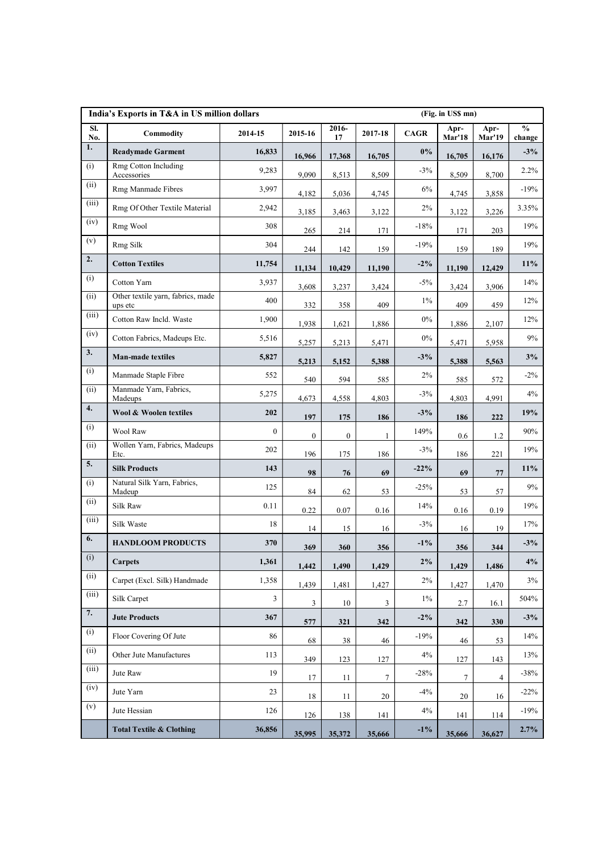| India's Exports in T&A in US million dollars<br>(Fig. in US\$ mn) |                                              |              |                  |              |                |            |                       |                       |                                              |
|-------------------------------------------------------------------|----------------------------------------------|--------------|------------------|--------------|----------------|------------|-----------------------|-----------------------|----------------------------------------------|
| SI.<br>No.                                                        | Commodity                                    | 2014-15      | 2015-16          | 2016-<br>17  | 2017-18        | $\bf CAGR$ | Apr-<br><b>Mar'18</b> | Apr-<br><b>Mar'19</b> | $\mathbf{0}_{\mathbf{0}}^{\prime}$<br>change |
| $\overline{1}$ .                                                  | <b>Readymade Garment</b>                     | 16,833       | 16,966           | 17,368       | 16,705         | $0\%$      | 16,705                | 16,176                | $-3%$                                        |
| (i)                                                               | Rmg Cotton Including<br>Accessories          | 9,283        | 9,090            | 8,513        | 8,509          | $-3%$      | 8,509                 | 8,700                 | 2.2%                                         |
| (ii)                                                              | Rmg Manmade Fibres                           | 3,997        | 4,182            | 5,036        | 4,745          | $6\%$      | 4,745                 | 3,858                 | $-19%$                                       |
| (iii)                                                             | Rmg Of Other Textile Material                | 2,942        | 3,185            | 3,463        | 3,122          | 2%         | 3,122                 | 3,226                 | 3.35%                                        |
| (iv)                                                              | Rmg Wool                                     | 308          | 265              | 214          | 171            | $-18%$     | 171                   | 203                   | 19%                                          |
| (v)                                                               | Rmg Silk                                     | 304          | 244              | 142          | 159            | $-19%$     | 159                   | 189                   | 19%                                          |
| $\overline{2}$ .                                                  | <b>Cotton Textiles</b>                       | 11,754       | 11,134           | 10,429       | 11,190         | $-2\%$     | 11,190                | 12,429                | 11%                                          |
| (i)                                                               | Cotton Yarn                                  | 3,937        | 3,608            | 3,237        | 3,424          | $-5\%$     | 3,424                 | 3,906                 | 14%                                          |
| (ii)                                                              | Other textile yarn, fabrics, made<br>ups etc | 400          | 332              | 358          | 409            | $1\%$      | 409                   | 459                   | 12%                                          |
| (iii)                                                             | Cotton Raw Incld. Waste                      | 1,900        | 1,938            | 1,621        | 1,886          | $0\%$      | 1,886                 | 2,107                 | 12%                                          |
| (iv)                                                              | Cotton Fabrics, Madeups Etc.                 | 5,516        | 5,257            | 5,213        | 5,471          | $0\%$      | 5,471                 | 5,958                 | 9%                                           |
| $\overline{3}$ .                                                  | Man-made textiles                            | 5,827        | 5,213            | 5,152        | 5,388          | $-3%$      | 5,388                 | 5,563                 | 3%                                           |
| (i)                                                               | Manmade Staple Fibre                         | 552          |                  |              |                | $2\%$      |                       |                       | $-2\%$                                       |
| (ii)                                                              | Manmade Yarn, Fabrics,                       | 5,275        | 540              | 594          | 585            | $-3%$      | 585                   | 572                   | 4%                                           |
| 4.                                                                | Madeups<br>Wool & Woolen textiles            | 202          | 4,673            | 4,558        | 4,803          | $-3\%$     | 4,803                 | 4,991                 | 19%                                          |
| (i)                                                               | Wool Raw                                     | $\mathbf{0}$ | 197              | 175          | 186            | 149%       | 186                   | 222                   | 90%                                          |
| (ii)                                                              | Wollen Yarn, Fabrics, Madeups                | 202          | $\boldsymbol{0}$ | $\mathbf{0}$ |                | $-3%$      | 0.6                   | $1.2\,$               | 19%                                          |
| $\overline{5}$ .                                                  | Etc.<br><b>Silk Products</b>                 | 143          | 196              | 175          | 186            | $-22%$     | 186                   | 221                   | $11\%$                                       |
| (i)                                                               | Natural Silk Yarn, Fabrics,                  | 125          | 98               | 76           | 69             | $-25%$     | 69                    | 77                    | $9\%$                                        |
| (ii)                                                              | Madeup                                       |              | 84               | 62           | 53             | 14%        | 53                    | 57                    | 19%                                          |
| (iii)                                                             | Silk Raw                                     | 0.11         | 0.22             | 0.07         | 0.16           |            | 0.16                  | 0.19                  |                                              |
| $\boxed{6}$ .                                                     | Silk Waste                                   | 18           | 14               | 15           | 16             | $-3\%$     | 16                    | 19                    | 17%                                          |
| (i)                                                               | <b>HANDLOOM PRODUCTS</b>                     | 370          | 369              | 360          | 356            | $-1\%$     | 356                   | 344                   | $-3%$                                        |
| (ii)                                                              | <b>Carpets</b>                               | 1,361        | 1,442            | 1,490        | 1,429          | $2\%$      | 1,429                 | 1,486                 | 4%                                           |
| (iii)                                                             | Carpet (Excl. Silk) Handmade                 | 1,358        | 1,439            | 1,481        | 1,427          | $2\%$      | 1,427                 | 1,470                 | $3\%$                                        |
| $\boxed{7}$ .                                                     | Silk Carpet                                  | $\mathbf{3}$ | 3                | 10           | $\overline{3}$ | $1\%$      | 2.7                   | 16.1                  | 504%                                         |
|                                                                   | <b>Jute Products</b>                         | 367          | 577              | 321          | 342            | $-2\%$     | 342                   | 330                   | $-3%$                                        |
| (i)                                                               | Floor Covering Of Jute                       | 86           | 68               | 38           | 46             | $-19%$     | 46                    | 53                    | 14%                                          |
| (ii)                                                              | Other Jute Manufactures                      | 113          | 349              | 123          | 127            | 4%         | 127                   | 143                   | 13%                                          |
| (iii)                                                             | Jute Raw                                     | 19           | $17\,$           | 11           | $\tau$         | $-28%$     | $\overline{7}$        | $\overline{4}$        | $-38%$                                       |
| (iv)                                                              | Jute Yarn                                    | 23           | 18               | 11           | 20             | $-4%$      | 20                    | 16                    | $-22%$                                       |
| (v)                                                               | Jute Hessian                                 | 126          | 126              | 138          | 141            | $4\%$      | 141                   | 114                   | $-19%$                                       |
|                                                                   | <b>Total Textile &amp; Clothing</b>          | 36,856       | 35,995           | 35,372       | 35,666         | $-1\%$     | 35,666                | 36,627                | $2.7\%$                                      |